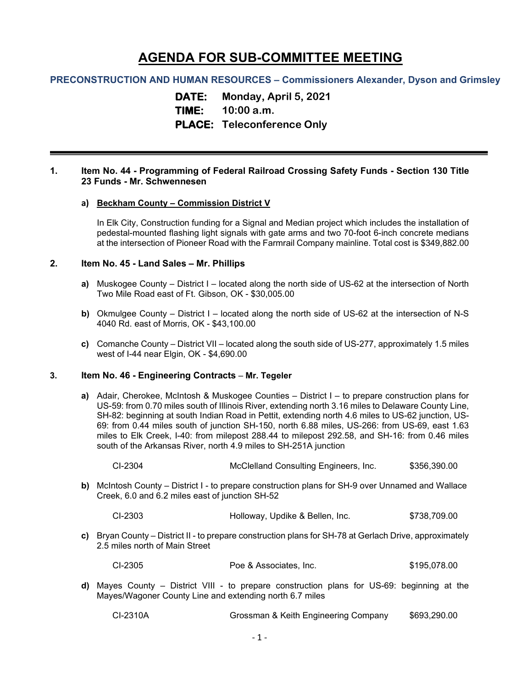# **AGENDA FOR SUB-COMMITTEE MEETING**

## **PRECONSTRUCTION AND HUMAN RESOURCES – Commissioners Alexander, Dyson and Grimsley**

**DATE: Monday, April 5, 2021**

# **TIME: 10:00 a.m.**

# **PLACE: Teleconference Only**

#### **1. Item No. 44 - Programming of Federal Railroad Crossing Safety Funds - Section 130 Title 23 Funds - Mr. Schwennesen**

#### **a) Beckham County – Commission District V**

In Elk City, Construction funding for a Signal and Median project which includes the installation of pedestal-mounted flashing light signals with gate arms and two 70-foot 6-inch concrete medians at the intersection of Pioneer Road with the Farmrail Company mainline. Total cost is \$349,882.00

#### **2. Item No. 45 - Land Sales – Mr. Phillips**

- **a)** Muskogee County District I located along the north side of US-62 at the intersection of North Two Mile Road east of Ft. Gibson, OK - \$30,005.00
- **b)** Okmulgee County District I located along the north side of US-62 at the intersection of N-S 4040 Rd. east of Morris, OK - \$43,100.00
- **c)** Comanche County District VII located along the south side of US-277, approximately 1.5 miles west of I-44 near Elgin, OK - \$4,690.00

## **3. Item No. 46 - Engineering Contracts** – **Mr. Tegeler**

- **a)** Adair, Cherokee, McIntosh & Muskogee Counties District I to prepare construction plans for US-59: from 0.70 miles south of Illinois River, extending north 3.16 miles to Delaware County Line, SH-82: beginning at south Indian Road in Pettit, extending north 4.6 miles to US-62 junction, US-69: from 0.44 miles south of junction SH-150, north 6.88 miles, US-266: from US-69, east 1.63 miles to Elk Creek, I-40: from milepost 288.44 to milepost 292.58, and SH-16: from 0.46 miles south of the Arkansas River, north 4.9 miles to SH-251A junction
	- CI-2304 McClelland Consulting Engineers, Inc. \$356,390.00
- **b)** McIntosh County District I to prepare construction plans for SH-9 over Unnamed and Wallace Creek, 6.0 and 6.2 miles east of junction SH-52
	- CI-2303 Holloway, Updike & Bellen, Inc. \$738,709.00
- **c)** Bryan County District II to prepare construction plans for SH-78 at Gerlach Drive, approximately 2.5 miles north of Main Street

| Poe & Associates, Inc. | \$195,078.00 |
|------------------------|--------------|
|                        |              |

**d)** Mayes County – District VIII - to prepare construction plans for US-69: beginning at the Mayes/Wagoner County Line and extending north 6.7 miles

| CI-2310A | Grossman & Keith Engineering Company | \$693,290.00 |
|----------|--------------------------------------|--------------|
|----------|--------------------------------------|--------------|